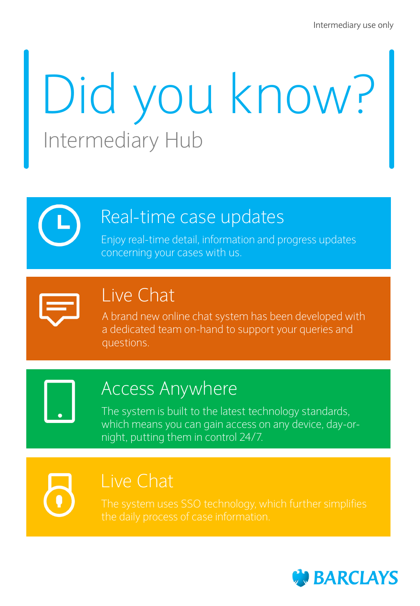# Did you know? Intermediary Hub

### Real-time case updates

Enjoy real-time detail, information and progress updates concerning your cases with us.



### Live Chat

A brand new online chat system has been developed with a dedicated team on-hand to support your queries and questions.

## Access Anywhere

The system is built to the latest technology standards, which means you can gain access on any device, day-ornight, putting them in control 24/7.

## Live Chat